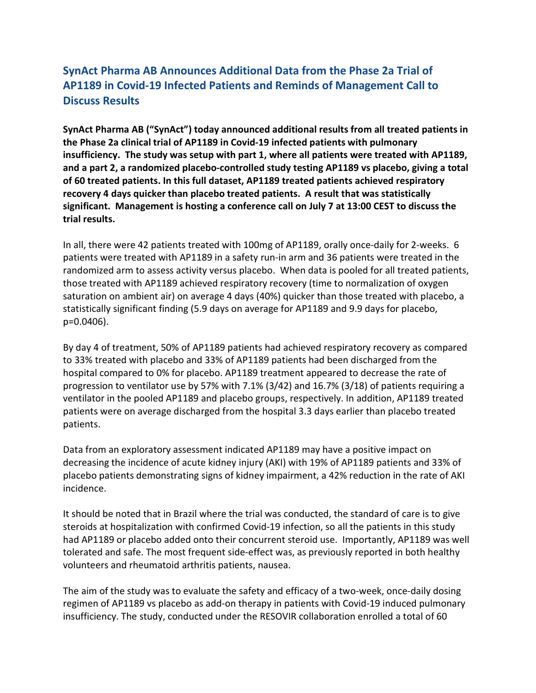# SynAct Pharma AB Announces Additional Data from the Phase 2a Trial of AP1189 in Covid-19 Infected Patients and Reminds of Management Call to Discuss Results

SynAct Pharma AB ("SynAct") today announced additional results from all treated patients in the Phase 2a clinical trial of AP1189 in Covid-19 infected patients with pulmonary insufficiency. The study was setup with part 1, where all patients were treated with AP1189, and a part 2, a randomized placebo-controlled study testing AP1189 vs placebo, giving a total of 60 treated patients. In this full dataset, AP1189 treated patients achieved respiratory recovery 4 days quicker than placebo treated patients. A result that was statistically significant. Management is hosting a conference call on July 7 at 13:00 CEST to discuss the trial results.

In all, there were 42 patients treated with 100mg of AP1189, orally once-daily for 2-weeks. 6 patients were treated with AP1189 in a safety run-in arm and 36 patients were treated in the randomized arm to assess activity versus placebo. When data is pooled for all treated patients, those treated with AP1189 achieved respiratory recovery (time to normalization of oxygen saturation on ambient air) on average 4 days (40%) quicker than those treated with placebo, a statistically significant finding (5.9 days on average for AP1189 and 9.9 days for placebo, p=0.0406).

By day 4 of treatment, 50% of AP1189 patients had achieved respiratory recovery as compared to 33% treated with placebo and 33% of AP1189 patients had been discharged from the hospital compared to 0% for placebo. AP1189 treatment appeared to decrease the rate of progression to ventilator use by 57% with 7.1% (3/42) and 16.7% (3/18) of patients requiring a ventilator in the pooled AP1189 and placebo groups, respectively. In addition, AP1189 treated patients were on average discharged from the hospital 3.3 days earlier than placebo treated patients.

Data from an exploratory assessment indicated AP1189 may have a positive impact on decreasing the incidence of acute kidney injury (AKI) with 19% of AP1189 patients and 33% of placebo patients demonstrating signs of kidney impairment, a 42% reduction in the rate of AKI incidence.

It should be noted that in Brazil where the trial was conducted, the standard of care is to give steroids at hospitalization with confirmed Covid-19 infection, so all the patients in this study had AP1189 or placebo added onto their concurrent steroid use. Importantly, AP1189 was well tolerated and safe. The most frequent side-effect was, as previously reported in both healthy volunteers and rheumatoid arthritis patients, nausea.

The aim of the study was to evaluate the safety and efficacy of a two-week, once-daily dosing regimen of AP1189 vs placebo as add-on therapy in patients with Covid-19 induced pulmonary insufficiency. The study, conducted under the RESOVIR collaboration enrolled a total of 60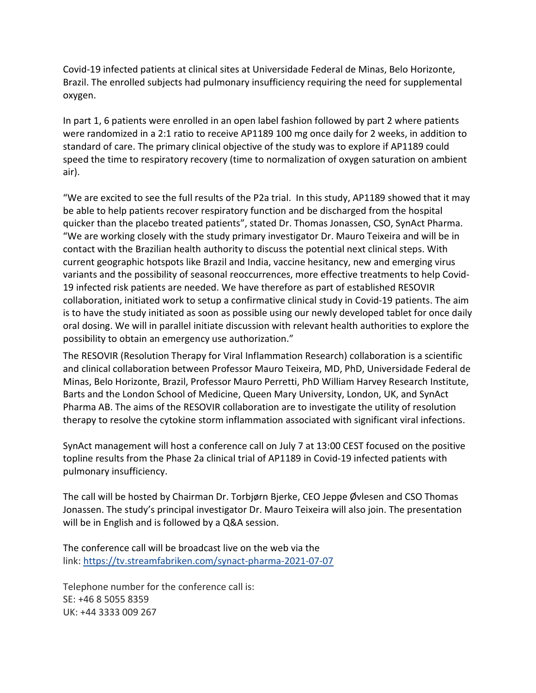Covid-19 infected patients at clinical sites at Universidade Federal de Minas, Belo Horizonte, Brazil. The enrolled subjects had pulmonary insufficiency requiring the need for supplemental oxygen.

In part 1, 6 patients were enrolled in an open label fashion followed by part 2 where patients were randomized in a 2:1 ratio to receive AP1189 100 mg once daily for 2 weeks, in addition to standard of care. The primary clinical objective of the study was to explore if AP1189 could speed the time to respiratory recovery (time to normalization of oxygen saturation on ambient air).

"We are excited to see the full results of the P2a trial. In this study, AP1189 showed that it may be able to help patients recover respiratory function and be discharged from the hospital quicker than the placebo treated patients", stated Dr. Thomas Jonassen, CSO, SynAct Pharma. "We are working closely with the study primary investigator Dr. Mauro Teixeira and will be in contact with the Brazilian health authority to discuss the potential next clinical steps. With current geographic hotspots like Brazil and India, vaccine hesitancy, new and emerging virus variants and the possibility of seasonal reoccurrences, more effective treatments to help Covid-19 infected risk patients are needed. We have therefore as part of established RESOVIR collaboration, initiated work to setup a confirmative clinical study in Covid-19 patients. The aim is to have the study initiated as soon as possible using our newly developed tablet for once daily oral dosing. We will in parallel initiate discussion with relevant health authorities to explore the possibility to obtain an emergency use authorization."

The RESOVIR (Resolution Therapy for Viral Inflammation Research) collaboration is a scientific and clinical collaboration between Professor Mauro Teixeira, MD, PhD, Universidade Federal de Minas, Belo Horizonte, Brazil, Professor Mauro Perretti, PhD William Harvey Research Institute, Barts and the London School of Medicine, Queen Mary University, London, UK, and SynAct Pharma AB. The aims of the RESOVIR collaboration are to investigate the utility of resolution therapy to resolve the cytokine storm inflammation associated with significant viral infections.

SynAct management will host a conference call on July 7 at 13:00 CEST focused on the positive topline results from the Phase 2a clinical trial of AP1189 in Covid-19 infected patients with pulmonary insufficiency.

The call will be hosted by Chairman Dr. Torbjørn Bjerke, CEO Jeppe Øvlesen and CSO Thomas Jonassen. The study's principal investigator Dr. Mauro Teixeira will also join. The presentation will be in English and is followed by a Q&A session.

The conference call will be broadcast live on the web via the link: https://tv.streamfabriken.com/synact-pharma-2021-07-07

Telephone number for the conference call is: SE: +46 8 5055 8359 UK: +44 3333 009 267